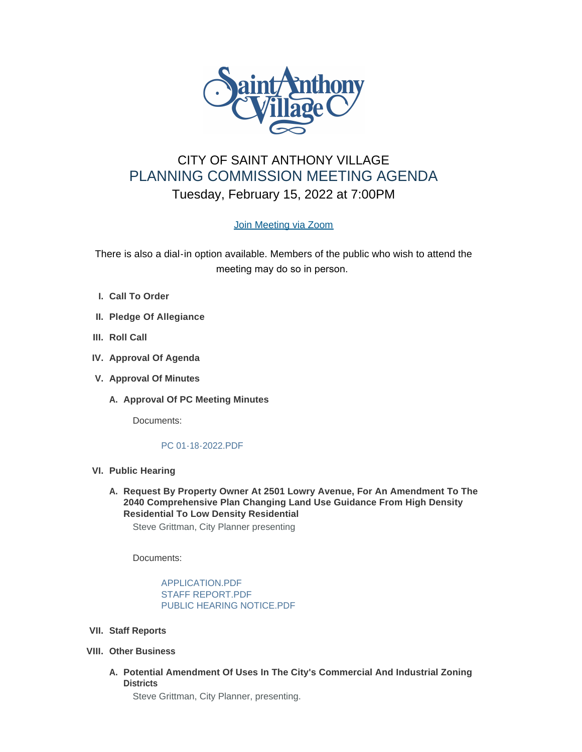

# CITY OF SAINT ANTHONY VILLAGE PLANNING COMMISSION MEETING AGENDA Tuesday, February 15, 2022 at 7:00PM

## [Join Meeting via Zoom](https://www.savmn.com/Calendar.aspx?EID=1601)

There is also a dial-in option available. Members of the public who wish to attend the meeting may do so in person.

- **Call To Order I.**
- **Pledge Of Allegiance II.**
- **III.** Roll Call
- **IV.** Approval Of Agenda
- **Approval Of Minutes V.**
	- A. Approval Of PC Meeting Minutes

Documents:

### [PC 01-18-2022.PDF](http://savmn.com/AgendaCenter/ViewFile/Item/679?fileID=6585)

- **Public Hearing VI.**
	- **Request By Property Owner At 2501 Lowry Avenue, For An Amendment To The A. 2040 Comprehensive Plan Changing Land Use Guidance From High Density Residential To Low Density Residential**

Steve Grittman, City Planner presenting

Documents:

[APPLICATION.PDF](http://savmn.com/AgendaCenter/ViewFile/Item/728?fileID=6647) [STAFF REPORT.PDF](http://savmn.com/AgendaCenter/ViewFile/Item/728?fileID=6649) [PUBLIC HEARING NOTICE.PDF](http://savmn.com/AgendaCenter/ViewFile/Item/728?fileID=6648)

- **Staff Reports VII.**
- **Other Business VIII.**
	- **Potential Amendment Of Uses In The City's Commercial And Industrial Zoning A. Districts**

Steve Grittman, City Planner, presenting.